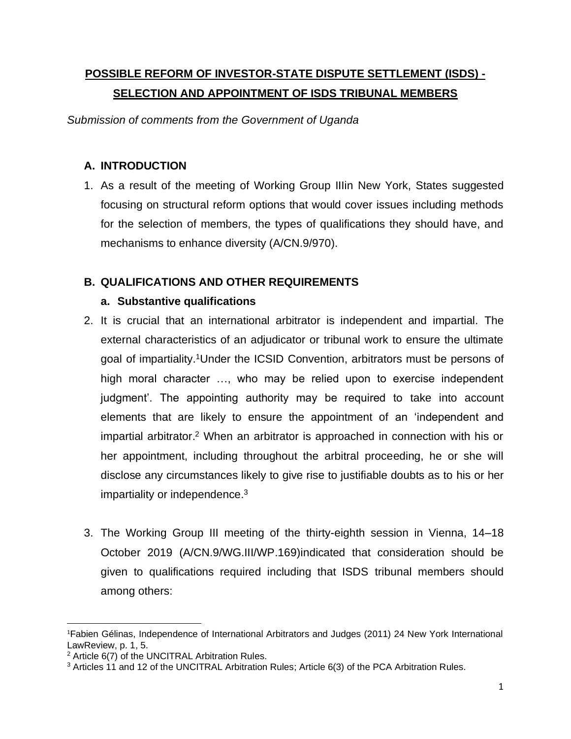# **POSSIBLE REFORM OF INVESTOR-STATE DISPUTE SETTLEMENT (ISDS) - SELECTION AND APPOINTMENT OF ISDS TRIBUNAL MEMBERS**

*Submission of comments from the Government of Uganda*

# **A. INTRODUCTION**

1. As a result of the meeting of Working Group IIIin New York, States suggested focusing on structural reform options that would cover issues including methods for the selection of members, the types of qualifications they should have, and mechanisms to enhance diversity (A/CN.9/970).

# **B. QUALIFICATIONS AND OTHER REQUIREMENTS**

# **a. Substantive qualifications**

- 2. It is crucial that an international arbitrator is independent and impartial. The external characteristics of an adjudicator or tribunal work to ensure the ultimate goal of impartiality.<sup>1</sup>Under the ICSID Convention, arbitrators must be persons of high moral character …, who may be relied upon to exercise independent judgment'. The appointing authority may be required to take into account elements that are likely to ensure the appointment of an 'independent and impartial arbitrator. <sup>2</sup> When an arbitrator is approached in connection with his or her appointment, including throughout the arbitral proceeding, he or she will disclose any circumstances likely to give rise to justifiable doubts as to his or her impartiality or independence.<sup>3</sup>
- 3. The Working Group III meeting of the thirty-eighth session in Vienna, 14–18 October 2019 (A/CN.9/WG.III/WP.169)indicated that consideration should be given to qualifications required including that ISDS tribunal members should among others:

<sup>1</sup>Fabien Gélinas, Independence of International Arbitrators and Judges (2011) 24 New York International LawReview, p. 1, 5.

<sup>2</sup> Article 6(7) of the UNCITRAL Arbitration Rules.

<sup>3</sup> Articles 11 and 12 of the UNCITRAL Arbitration Rules; Article 6(3) of the PCA Arbitration Rules.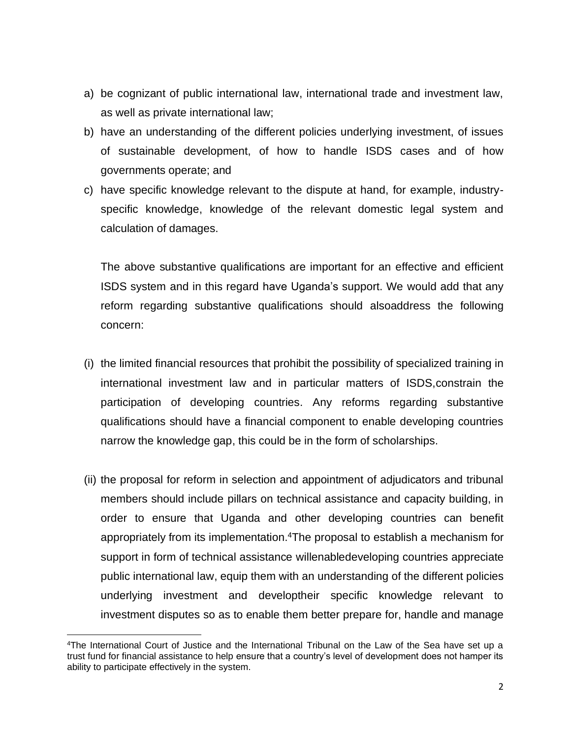- a) be cognizant of public international law, international trade and investment law, as well as private international law;
- b) have an understanding of the different policies underlying investment, of issues of sustainable development, of how to handle ISDS cases and of how governments operate; and
- c) have specific knowledge relevant to the dispute at hand, for example, industryspecific knowledge, knowledge of the relevant domestic legal system and calculation of damages.

The above substantive qualifications are important for an effective and efficient ISDS system and in this regard have Uganda's support. We would add that any reform regarding substantive qualifications should alsoaddress the following concern:

- (i) the limited financial resources that prohibit the possibility of specialized training in international investment law and in particular matters of ISDS,constrain the participation of developing countries. Any reforms regarding substantive qualifications should have a financial component to enable developing countries narrow the knowledge gap, this could be in the form of scholarships.
- (ii) the proposal for reform in selection and appointment of adjudicators and tribunal members should include pillars on technical assistance and capacity building, in order to ensure that Uganda and other developing countries can benefit appropriately from its implementation.<sup>4</sup>The proposal to establish a mechanism for support in form of technical assistance willenabledeveloping countries appreciate public international law, equip them with an understanding of the different policies underlying investment and developtheir specific knowledge relevant to investment disputes so as to enable them better prepare for, handle and manage

<sup>4</sup>The International Court of Justice and the International Tribunal on the Law of the Sea have set up a trust fund for financial assistance to help ensure that a country's level of development does not hamper its ability to participate effectively in the system.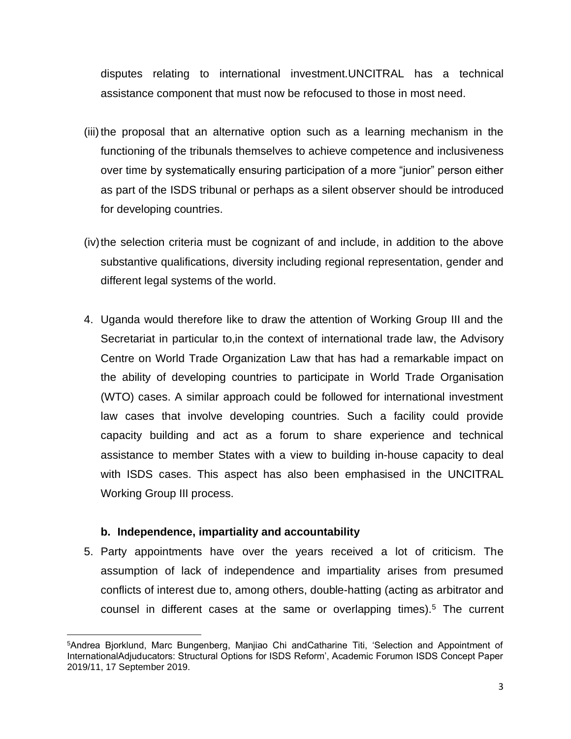disputes relating to international investment.UNCITRAL has a technical assistance component that must now be refocused to those in most need.

- (iii)the proposal that an alternative option such as a learning mechanism in the functioning of the tribunals themselves to achieve competence and inclusiveness over time by systematically ensuring participation of a more "junior" person either as part of the ISDS tribunal or perhaps as a silent observer should be introduced for developing countries.
- (iv)the selection criteria must be cognizant of and include, in addition to the above substantive qualifications, diversity including regional representation, gender and different legal systems of the world.
- 4. Uganda would therefore like to draw the attention of Working Group III and the Secretariat in particular to,in the context of international trade law, the Advisory Centre on World Trade Organization Law that has had a remarkable impact on the ability of developing countries to participate in World Trade Organisation (WTO) cases. A similar approach could be followed for international investment law cases that involve developing countries. Such a facility could provide capacity building and act as a forum to share experience and technical assistance to member States with a view to building in-house capacity to deal with ISDS cases. This aspect has also been emphasised in the UNCITRAL Working Group III process.

### **b. Independence, impartiality and accountability**

5. Party appointments have over the years received a lot of criticism. The assumption of lack of independence and impartiality arises from presumed conflicts of interest due to, among others, double-hatting (acting as arbitrator and counsel in different cases at the same or overlapping times).<sup>5</sup> The current

<sup>5</sup>Andrea Bjorklund, Marc Bungenberg, Manjiao Chi andCatharine Titi, 'Selection and Appointment of InternationalAdjuducators: Structural Options for ISDS Reform', Academic Forumon ISDS Concept Paper 2019/11, 17 September 2019.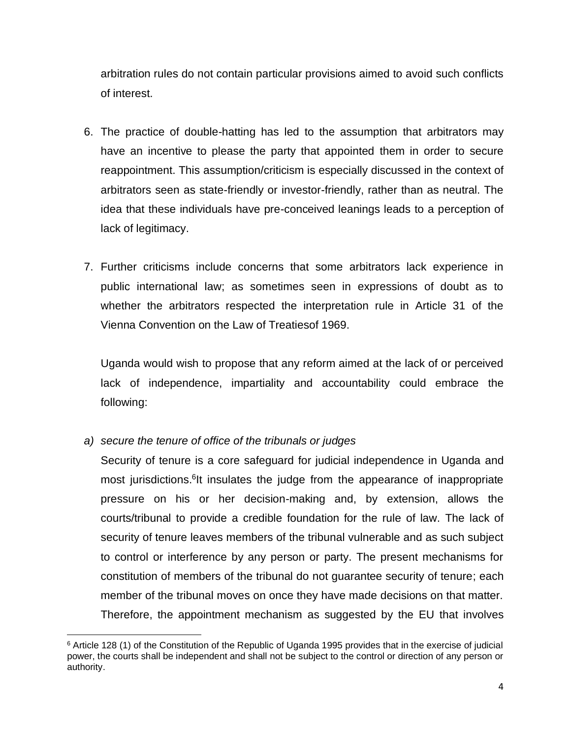arbitration rules do not contain particular provisions aimed to avoid such conflicts of interest.

- 6. The practice of double-hatting has led to the assumption that arbitrators may have an incentive to please the party that appointed them in order to secure reappointment. This assumption/criticism is especially discussed in the context of arbitrators seen as state-friendly or investor-friendly, rather than as neutral. The idea that these individuals have pre-conceived leanings leads to a perception of lack of legitimacy.
- 7. Further criticisms include concerns that some arbitrators lack experience in public international law; as sometimes seen in expressions of doubt as to whether the arbitrators respected the interpretation rule in Article 31 of the Vienna Convention on the Law of Treatiesof 1969.

Uganda would wish to propose that any reform aimed at the lack of or perceived lack of independence, impartiality and accountability could embrace the following:

*a) secure the tenure of office of the tribunals or judges*

Security of tenure is a core safeguard for judicial independence in Uganda and most jurisdictions.<sup>6</sup>lt insulates the judge from the appearance of inappropriate pressure on his or her decision-making and, by extension, allows the courts/tribunal to provide a credible foundation for the rule of law. The lack of security of tenure leaves members of the tribunal vulnerable and as such subject to control or interference by any person or party. The present mechanisms for constitution of members of the tribunal do not guarantee security of tenure; each member of the tribunal moves on once they have made decisions on that matter. Therefore, the appointment mechanism as suggested by the EU that involves

<sup>6</sup> Article 128 (1) of the Constitution of the Republic of Uganda 1995 provides that in the exercise of judicial power, the courts shall be independent and shall not be subject to the control or direction of any person or authority.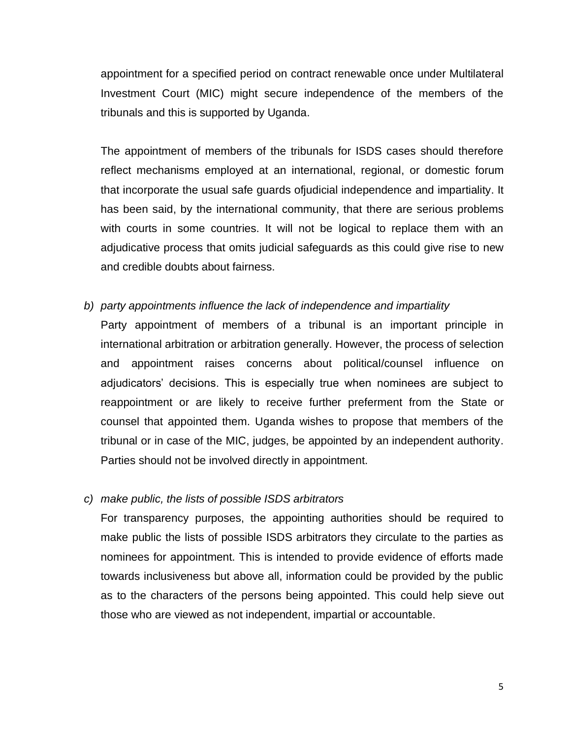appointment for a specified period on contract renewable once under Multilateral Investment Court (MIC) might secure independence of the members of the tribunals and this is supported by Uganda.

The appointment of members of the tribunals for ISDS cases should therefore reflect mechanisms employed at an international, regional, or domestic forum that incorporate the usual safe guards ofjudicial independence and impartiality. It has been said, by the international community, that there are serious problems with courts in some countries. It will not be logical to replace them with an adjudicative process that omits judicial safeguards as this could give rise to new and credible doubts about fairness.

- *b) party appointments influence the lack of independence and impartiality*
	- Party appointment of members of a tribunal is an important principle in international arbitration or arbitration generally. However, the process of selection and appointment raises concerns about political/counsel influence on adjudicators' decisions. This is especially true when nominees are subject to reappointment or are likely to receive further preferment from the State or counsel that appointed them. Uganda wishes to propose that members of the tribunal or in case of the MIC, judges, be appointed by an independent authority. Parties should not be involved directly in appointment.

#### *c) make public, the lists of possible ISDS arbitrators*

For transparency purposes, the appointing authorities should be required to make public the lists of possible ISDS arbitrators they circulate to the parties as nominees for appointment. This is intended to provide evidence of efforts made towards inclusiveness but above all, information could be provided by the public as to the characters of the persons being appointed. This could help sieve out those who are viewed as not independent, impartial or accountable.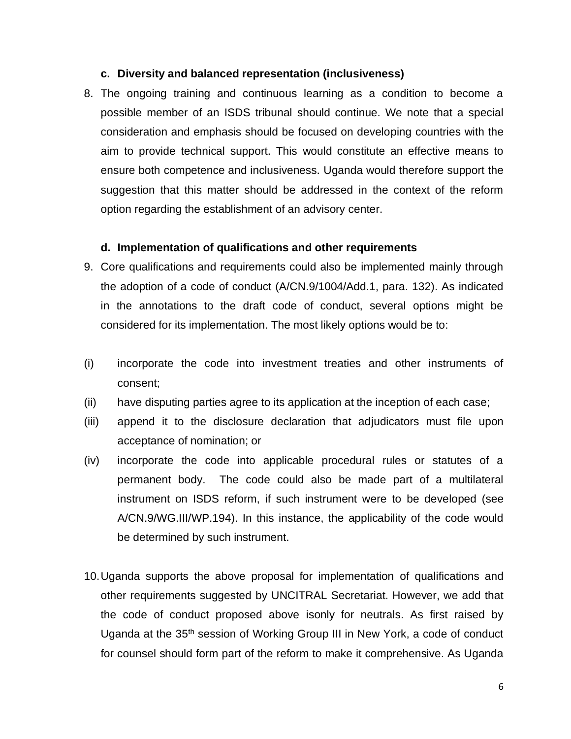#### **c. Diversity and balanced representation (inclusiveness)**

8. The ongoing training and continuous learning as a condition to become a possible member of an ISDS tribunal should continue. We note that a special consideration and emphasis should be focused on developing countries with the aim to provide technical support. This would constitute an effective means to ensure both competence and inclusiveness. Uganda would therefore support the suggestion that this matter should be addressed in the context of the reform option regarding the establishment of an advisory center.

#### **d. Implementation of qualifications and other requirements**

- 9. Core qualifications and requirements could also be implemented mainly through the adoption of a code of conduct (A/CN.9/1004/Add.1, para. 132). As indicated in the annotations to the draft code of conduct, several options might be considered for its implementation. The most likely options would be to:
- (i) incorporate the code into investment treaties and other instruments of consent;
- (ii) have disputing parties agree to its application at the inception of each case;
- (iii) append it to the disclosure declaration that adjudicators must file upon acceptance of nomination; or
- (iv) incorporate the code into applicable procedural rules or statutes of a permanent body. The code could also be made part of a multilateral instrument on ISDS reform, if such instrument were to be developed (see A/CN.9/WG.III/WP.194). In this instance, the applicability of the code would be determined by such instrument.
- 10.Uganda supports the above proposal for implementation of qualifications and other requirements suggested by UNCITRAL Secretariat. However, we add that the code of conduct proposed above isonly for neutrals. As first raised by Uganda at the 35th session of Working Group III in New York, a code of conduct for counsel should form part of the reform to make it comprehensive. As Uganda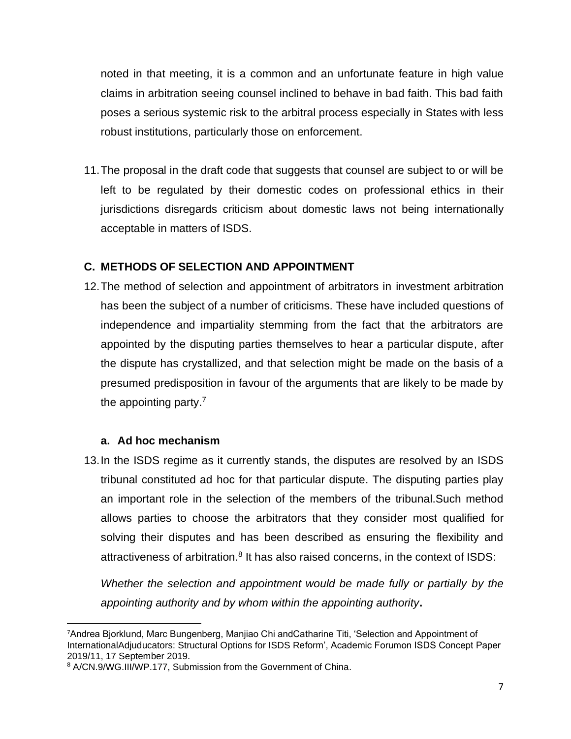noted in that meeting, it is a common and an unfortunate feature in high value claims in arbitration seeing counsel inclined to behave in bad faith. This bad faith poses a serious systemic risk to the arbitral process especially in States with less robust institutions, particularly those on enforcement.

11.The proposal in the draft code that suggests that counsel are subject to or will be left to be regulated by their domestic codes on professional ethics in their jurisdictions disregards criticism about domestic laws not being internationally acceptable in matters of ISDS.

# **C. METHODS OF SELECTION AND APPOINTMENT**

12.The method of selection and appointment of arbitrators in investment arbitration has been the subject of a number of criticisms. These have included questions of independence and impartiality stemming from the fact that the arbitrators are appointed by the disputing parties themselves to hear a particular dispute, after the dispute has crystallized, and that selection might be made on the basis of a presumed predisposition in favour of the arguments that are likely to be made by the appointing party.<sup>7</sup>

### **a. Ad hoc mechanism**

13.In the ISDS regime as it currently stands, the disputes are resolved by an ISDS tribunal constituted ad hoc for that particular dispute. The disputing parties play an important role in the selection of the members of the tribunal.Such method allows parties to choose the arbitrators that they consider most qualified for solving their disputes and has been described as ensuring the flexibility and attractiveness of arbitration.<sup>8</sup> It has also raised concerns, in the context of ISDS:

*Whether the selection and appointment would be made fully or partially by the appointing authority and by whom within the appointing authority***.**

<sup>7</sup>Andrea Bjorklund, Marc Bungenberg, Manjiao Chi andCatharine Titi, 'Selection and Appointment of InternationalAdjuducators: Structural Options for ISDS Reform', Academic Forumon ISDS Concept Paper 2019/11, 17 September 2019.

<sup>8</sup> A/CN.9/WG.III/WP.177, Submission from the Government of China.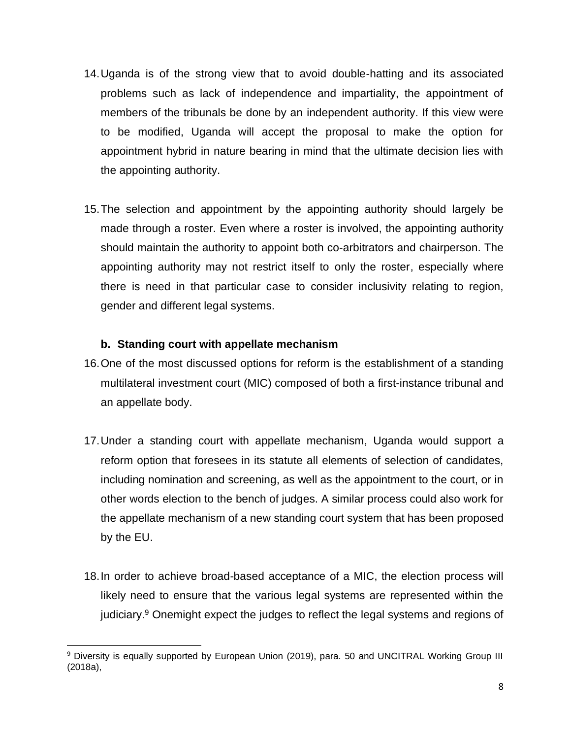- 14.Uganda is of the strong view that to avoid double-hatting and its associated problems such as lack of independence and impartiality, the appointment of members of the tribunals be done by an independent authority. If this view were to be modified, Uganda will accept the proposal to make the option for appointment hybrid in nature bearing in mind that the ultimate decision lies with the appointing authority.
- 15.The selection and appointment by the appointing authority should largely be made through a roster. Even where a roster is involved, the appointing authority should maintain the authority to appoint both co-arbitrators and chairperson. The appointing authority may not restrict itself to only the roster, especially where there is need in that particular case to consider inclusivity relating to region, gender and different legal systems.

### **b. Standing court with appellate mechanism**

- 16.One of the most discussed options for reform is the establishment of a standing multilateral investment court (MIC) composed of both a first-instance tribunal and an appellate body.
- 17.Under a standing court with appellate mechanism, Uganda would support a reform option that foresees in its statute all elements of selection of candidates, including nomination and screening, as well as the appointment to the court, or in other words election to the bench of judges. A similar process could also work for the appellate mechanism of a new standing court system that has been proposed by the EU.
- 18.In order to achieve broad-based acceptance of a MIC, the election process will likely need to ensure that the various legal systems are represented within the judiciary.<sup>9</sup> Onemight expect the judges to reflect the legal systems and regions of

<sup>9</sup> Diversity is equally supported by European Union (2019), para. 50 and UNCITRAL Working Group III (2018a),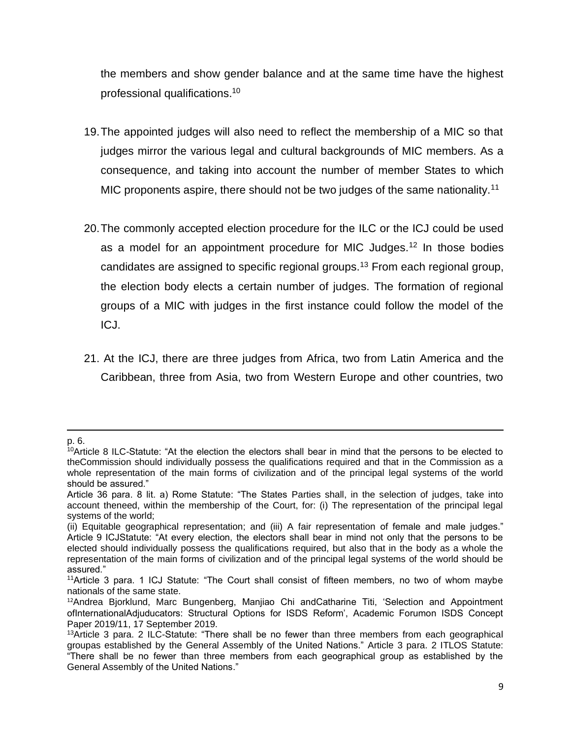the members and show gender balance and at the same time have the highest professional qualifications.<sup>10</sup>

- 19.The appointed judges will also need to reflect the membership of a MIC so that judges mirror the various legal and cultural backgrounds of MIC members. As a consequence, and taking into account the number of member States to which MIC proponents aspire, there should not be two judges of the same nationality.<sup>11</sup>
- 20.The commonly accepted election procedure for the ILC or the ICJ could be used as a model for an appointment procedure for MIC Judges.<sup>12</sup> In those bodies candidates are assigned to specific regional groups.<sup>13</sup> From each regional group, the election body elects a certain number of judges. The formation of regional groups of a MIC with judges in the first instance could follow the model of the ICJ.
- 21. At the ICJ, there are three judges from Africa, two from Latin America and the Caribbean, three from Asia, two from Western Europe and other countries, two

p. 6.

 $10$ Article 8 ILC-Statute: "At the election the electors shall bear in mind that the persons to be elected to theCommission should individually possess the qualifications required and that in the Commission as a whole representation of the main forms of civilization and of the principal legal systems of the world should be assured."

Article 36 para. 8 lit. a) Rome Statute: "The States Parties shall, in the selection of judges, take into account theneed, within the membership of the Court, for: (i) The representation of the principal legal systems of the world;

<sup>(</sup>ii) Equitable geographical representation; and (iii) A fair representation of female and male judges." Article 9 ICJStatute: "At every election, the electors shall bear in mind not only that the persons to be elected should individually possess the qualifications required, but also that in the body as a whole the representation of the main forms of civilization and of the principal legal systems of the world should be assured."

<sup>11</sup>Article 3 para. 1 ICJ Statute: "The Court shall consist of fifteen members, no two of whom maybe nationals of the same state.

<sup>12</sup>Andrea Bjorklund, Marc Bungenberg, Manjiao Chi andCatharine Titi, 'Selection and Appointment ofInternationalAdjuducators: Structural Options for ISDS Reform', Academic Forumon ISDS Concept Paper 2019/11, 17 September 2019.

<sup>&</sup>lt;sup>13</sup>Article 3 para. 2 ILC-Statute: "There shall be no fewer than three members from each geographical groupas established by the General Assembly of the United Nations." Article 3 para. 2 ITLOS Statute: "There shall be no fewer than three members from each geographical group as established by the General Assembly of the United Nations."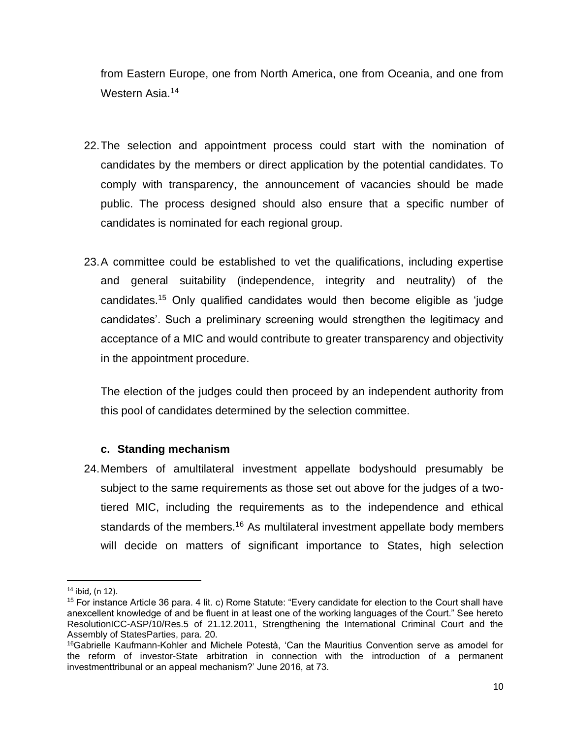from Eastern Europe, one from North America, one from Oceania, and one from Western Asia.<sup>14</sup>

- 22.The selection and appointment process could start with the nomination of candidates by the members or direct application by the potential candidates. To comply with transparency, the announcement of vacancies should be made public. The process designed should also ensure that a specific number of candidates is nominated for each regional group.
- 23.A committee could be established to vet the qualifications, including expertise and general suitability (independence, integrity and neutrality) of the candidates.<sup>15</sup> Only qualified candidates would then become eligible as 'judge candidates'. Such a preliminary screening would strengthen the legitimacy and acceptance of a MIC and would contribute to greater transparency and objectivity in the appointment procedure.

The election of the judges could then proceed by an independent authority from this pool of candidates determined by the selection committee.

### **c. Standing mechanism**

24.Members of amultilateral investment appellate bodyshould presumably be subject to the same requirements as those set out above for the judges of a twotiered MIC, including the requirements as to the independence and ethical standards of the members.<sup>16</sup> As multilateral investment appellate body members will decide on matters of significant importance to States, high selection

<sup>14</sup> ibid, (n 12).

<sup>15</sup> For instance Article 36 para. 4 lit. c) Rome Statute: "Every candidate for election to the Court shall have anexcellent knowledge of and be fluent in at least one of the working languages of the Court." See hereto ResolutionICC-ASP/10/Res.5 of 21.12.2011, Strengthening the International Criminal Court and the Assembly of StatesParties, para. 20.

<sup>16</sup>Gabrielle Kaufmann-Kohler and Michele Potestà, 'Can the Mauritius Convention serve as amodel for the reform of investor-State arbitration in connection with the introduction of a permanent investmenttribunal or an appeal mechanism?' June 2016, at 73.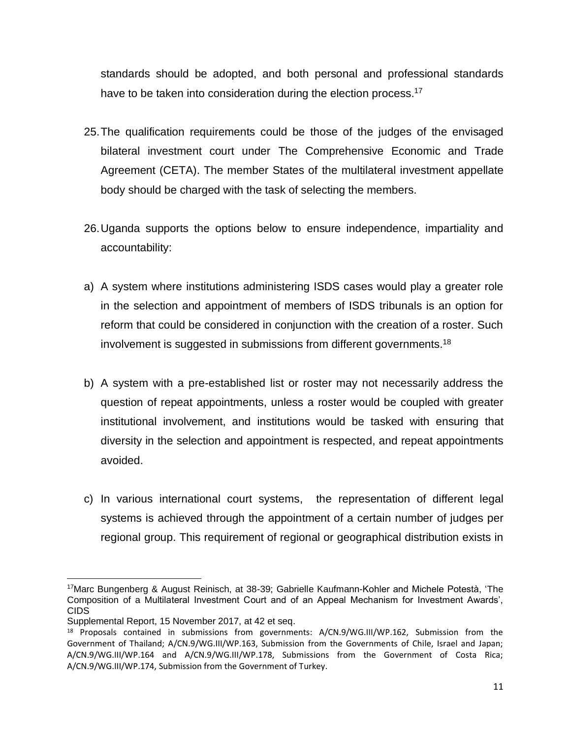standards should be adopted, and both personal and professional standards have to be taken into consideration during the election process.<sup>17</sup>

- 25.The qualification requirements could be those of the judges of the envisaged bilateral investment court under The Comprehensive Economic and Trade Agreement (CETA). The member States of the multilateral investment appellate body should be charged with the task of selecting the members.
- 26.Uganda supports the options below to ensure independence, impartiality and accountability:
- a) A system where institutions administering ISDS cases would play a greater role in the selection and appointment of members of ISDS tribunals is an option for reform that could be considered in conjunction with the creation of a roster. Such involvement is suggested in submissions from different governments. $^{18}$
- b) A system with a pre-established list or roster may not necessarily address the question of repeat appointments, unless a roster would be coupled with greater institutional involvement, and institutions would be tasked with ensuring that diversity in the selection and appointment is respected, and repeat appointments avoided.
- c) In various international court systems, the representation of different legal systems is achieved through the appointment of a certain number of judges per regional group. This requirement of regional or geographical distribution exists in

<sup>17</sup>Marc Bungenberg & August Reinisch, at 38-39; Gabrielle Kaufmann-Kohler and Michele Potestà, 'The Composition of a Multilateral Investment Court and of an Appeal Mechanism for Investment Awards', CIDS

Supplemental Report, 15 November 2017, at 42 et seq.

<sup>&</sup>lt;sup>18</sup> Proposals contained in submissions from governments: A/CN.9/WG.III/WP.162, Submission from the Government of Thailand; A/CN.9/WG.III/WP.163, Submission from the Governments of Chile, Israel and Japan; A/CN.9/WG.III/WP.164 and A/CN.9/WG.III/WP.178, Submissions from the Government of Costa Rica; A/CN.9/WG.III/WP.174, Submission from the Government of Turkey.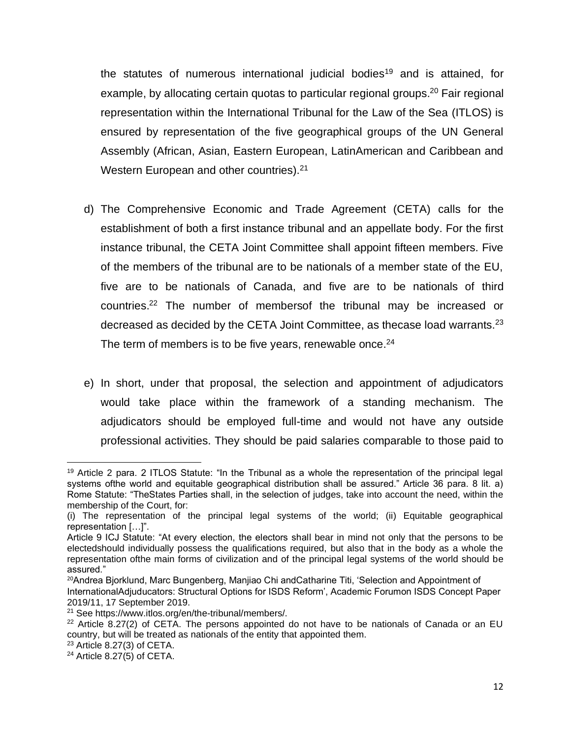the statutes of numerous international judicial bodies<sup>19</sup> and is attained, for example, by allocating certain quotas to particular regional groups.<sup>20</sup> Fair regional representation within the International Tribunal for the Law of the Sea (ITLOS) is ensured by representation of the five geographical groups of the UN General Assembly (African, Asian, Eastern European, LatinAmerican and Caribbean and Western European and other countries).<sup>21</sup>

- d) The Comprehensive Economic and Trade Agreement (CETA) calls for the establishment of both a first instance tribunal and an appellate body. For the first instance tribunal, the CETA Joint Committee shall appoint fifteen members. Five of the members of the tribunal are to be nationals of a member state of the EU, five are to be nationals of Canada, and five are to be nationals of third countries. <sup>22</sup> The number of membersof the tribunal may be increased or decreased as decided by the CETA Joint Committee, as thecase load warrants.<sup>23</sup> The term of members is to be five years, renewable once. $24$
- e) In short, under that proposal, the selection and appointment of adjudicators would take place within the framework of a standing mechanism. The adjudicators should be employed full-time and would not have any outside professional activities. They should be paid salaries comparable to those paid to

<sup>&</sup>lt;sup>19</sup> Article 2 para. 2 ITLOS Statute: "In the Tribunal as a whole the representation of the principal legal systems ofthe world and equitable geographical distribution shall be assured." Article 36 para. 8 lit. a) Rome Statute: "TheStates Parties shall, in the selection of judges, take into account the need, within the membership of the Court, for:

<sup>(</sup>i) The representation of the principal legal systems of the world; (ii) Equitable geographical representation […]".

Article 9 ICJ Statute: "At every election, the electors shall bear in mind not only that the persons to be electedshould individually possess the qualifications required, but also that in the body as a whole the representation ofthe main forms of civilization and of the principal legal systems of the world should be assured."

<sup>20</sup>Andrea Bjorklund, Marc Bungenberg, Manjiao Chi andCatharine Titi, 'Selection and Appointment of InternationalAdjuducators: Structural Options for ISDS Reform', Academic Forumon ISDS Concept Paper 2019/11, 17 September 2019.

<sup>21</sup> See https://www.itlos.org/en/the-tribunal/members/.

 $22$  Article 8.27(2) of CETA. The persons appointed do not have to be nationals of Canada or an EU country, but will be treated as nationals of the entity that appointed them.

<sup>23</sup> Article 8.27(3) of CETA.

 $24$  Article 8.27(5) of CETA.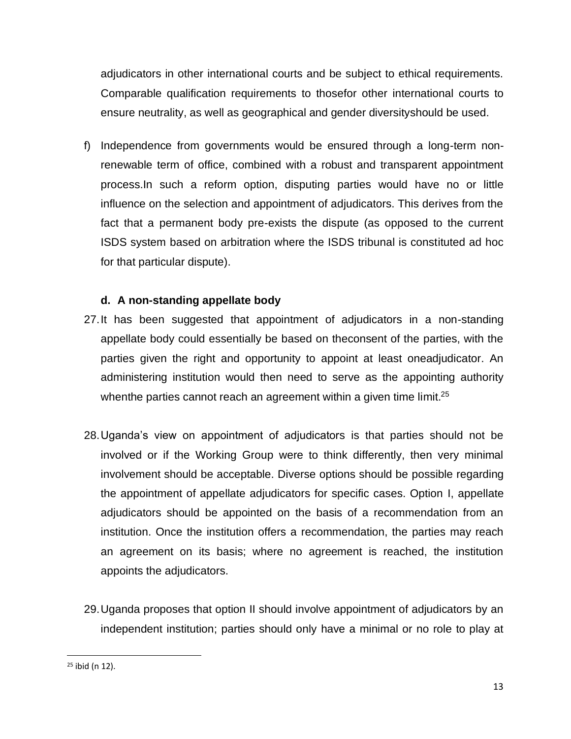adjudicators in other international courts and be subject to ethical requirements. Comparable qualification requirements to thosefor other international courts to ensure neutrality, as well as geographical and gender diversityshould be used.

f) Independence from governments would be ensured through a long-term nonrenewable term of office, combined with a robust and transparent appointment process.In such a reform option, disputing parties would have no or little influence on the selection and appointment of adjudicators. This derives from the fact that a permanent body pre-exists the dispute (as opposed to the current ISDS system based on arbitration where the ISDS tribunal is constituted ad hoc for that particular dispute).

# **d. A non-standing appellate body**

- 27.It has been suggested that appointment of adjudicators in a non-standing appellate body could essentially be based on theconsent of the parties, with the parties given the right and opportunity to appoint at least oneadjudicator. An administering institution would then need to serve as the appointing authority whenthe parties cannot reach an agreement within a given time limit. $^{25}$
- 28.Uganda's view on appointment of adjudicators is that parties should not be involved or if the Working Group were to think differently, then very minimal involvement should be acceptable. Diverse options should be possible regarding the appointment of appellate adjudicators for specific cases. Option I, appellate adjudicators should be appointed on the basis of a recommendation from an institution. Once the institution offers a recommendation, the parties may reach an agreement on its basis; where no agreement is reached, the institution appoints the adjudicators.
- 29.Uganda proposes that option II should involve appointment of adjudicators by an independent institution; parties should only have a minimal or no role to play at

<sup>25</sup> ibid (n 12).